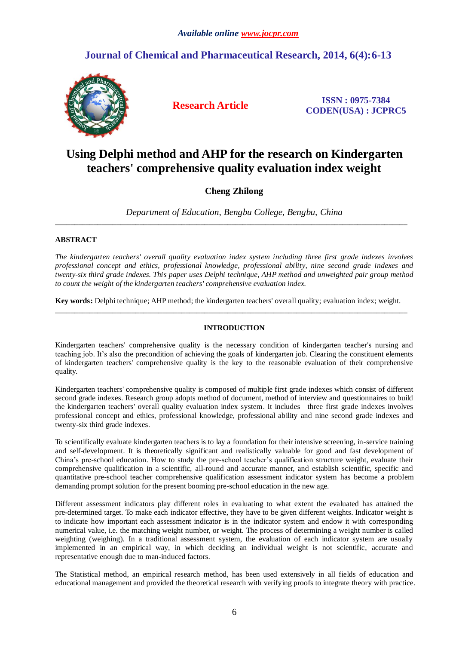# **Journal of Chemical and Pharmaceutical Research, 2014, 6(4):6-13**



**Research Article ISSN : 0975-7384 CODEN(USA) : JCPRC5**

# **Using Delphi method and AHP for the research on Kindergarten teachers' comprehensive quality evaluation index weight**

## **Cheng Zhilong**

*Department of Education, Bengbu College, Bengbu, China* \_\_\_\_\_\_\_\_\_\_\_\_\_\_\_\_\_\_\_\_\_\_\_\_\_\_\_\_\_\_\_\_\_\_\_\_\_\_\_\_\_\_\_\_\_\_\_\_\_\_\_\_\_\_\_\_\_\_\_\_\_\_\_\_\_\_\_\_\_\_\_\_\_\_\_\_\_\_\_\_\_\_\_\_\_\_\_\_\_\_\_\_

### **ABSTRACT**

*The kindergarten teachers' overall quality evaluation index system including three first grade indexes involves professional concept and ethics, professional knowledge, professional ability, nine second grade indexes and twenty-six third grade indexes. This paper uses Delphi technique, AHP method and unweighted pair group method to count the weight of the kindergarten teachers' comprehensive evaluation index.* 

**Key words:** Delphi technique; AHP method; the kindergarten teachers' overall quality; evaluation index; weight. \_\_\_\_\_\_\_\_\_\_\_\_\_\_\_\_\_\_\_\_\_\_\_\_\_\_\_\_\_\_\_\_\_\_\_\_\_\_\_\_\_\_\_\_\_\_\_\_\_\_\_\_\_\_\_\_\_\_\_\_\_\_\_\_\_\_\_\_\_\_\_\_\_\_\_\_\_\_\_\_\_\_\_\_\_\_\_\_\_\_\_\_

### **INTRODUCTION**

Kindergarten teachers' comprehensive quality is the necessary condition of kindergarten teacher's nursing and teaching job. It's also the precondition of achieving the goals of kindergarten job. Clearing the constituent elements of kindergarten teachers' comprehensive quality is the key to the reasonable evaluation of their comprehensive quality.

Kindergarten teachers' comprehensive quality is composed of multiple first grade indexes which consist of different second grade indexes. Research group adopts method of document, method of interview and questionnaires to build the kindergarten teachers' overall quality evaluation index system. It includes three first grade indexes involves professional concept and ethics, professional knowledge, professional ability and nine second grade indexes and twenty-six third grade indexes.

To scientifically evaluate kindergarten teachers is to lay a foundation for their intensive screening, in-service training and self-development. It is theoretically significant and realistically valuable for good and fast development of China's pre-school education. How to study the pre-school teacher's qualification structure weight, evaluate their comprehensive qualification in a scientific, all-round and accurate manner, and establish scientific, specific and quantitative pre-school teacher comprehensive qualification assessment indicator system has become a problem demanding prompt solution for the present booming pre-school education in the new age.

Different assessment indicators play different roles in evaluating to what extent the evaluated has attained the pre-determined target. To make each indicator effective, they have to be given different weights. Indicator weight is to indicate how important each assessment indicator is in the indicator system and endow it with corresponding numerical value, i.e. the matching weight number, or weight. The process of determining a weight number is called weighting (weighing). In a traditional assessment system, the evaluation of each indicator system are usually implemented in an empirical way, in which deciding an individual weight is not scientific, accurate and representative enough due to man-induced factors.

The Statistical method, an empirical research method, has been used extensively in all fields of education and educational management and provided the theoretical research with verifying proofs to integrate theory with practice.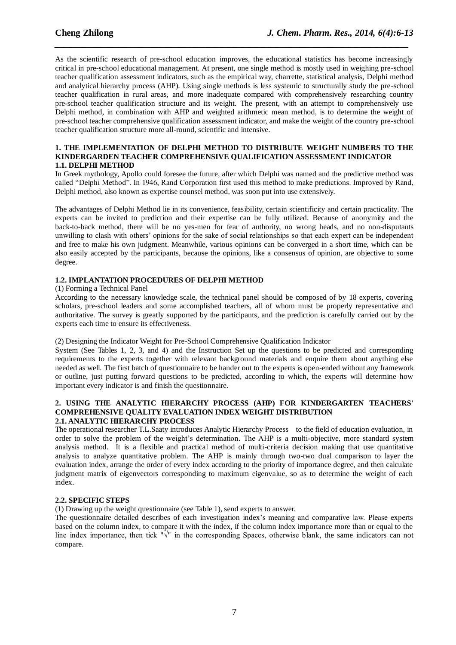As the scientific research of pre-school education improves, the educational statistics has become increasingly critical in pre-school educational management. At present, one single method is mostly used in weighing pre-school teacher qualification assessment indicators, such as the empirical way, charrette, statistical analysis, Delphi method and analytical hierarchy process (AHP). Using single methods is less systemic to structurally study the pre-school teacher qualification in rural areas, and more inadequate compared with comprehensively researching country pre-school teacher qualification structure and its weight. The present, with an attempt to comprehensively use Delphi method, in combination with AHP and weighted arithmetic mean method, is to determine the weight of pre-school teacher comprehensive qualification assessment indicator, and make the weight of the country pre-school teacher qualification structure more all-round, scientific and intensive.

*\_\_\_\_\_\_\_\_\_\_\_\_\_\_\_\_\_\_\_\_\_\_\_\_\_\_\_\_\_\_\_\_\_\_\_\_\_\_\_\_\_\_\_\_\_\_\_\_\_\_\_\_\_\_\_\_\_\_\_\_\_\_\_\_\_\_\_\_\_\_\_\_\_\_\_\_\_*

#### **1. THE IMPLEMENTATION OF DELPHI METHOD TO DISTRIBUTE WEIGHT NUMBERS TO THE KINDERGARDEN TEACHER COMPREHENSIVE QUALIFICATION ASSESSMENT INDICATOR 1.1. DELPHI METHOD**

In Greek mythology, Apollo could foresee the future, after which Delphi was named and the predictive method was called "Delphi Method". In 1946, Rand Corporation first used this method to make predictions. Improved by Rand, Delphi method, also known as expertise counsel method, was soon put into use extensively.

The advantages of Delphi Method lie in its convenience, feasibility, certain scientificity and certain practicality. The experts can be invited to prediction and their expertise can be fully utilized. Because of anonymity and the back-to-back method, there will be no yes-men for fear of authority, no wrong heads, and no non-disputants unwilling to clash with others' opinions for the sake of social relationships so that each expert can be independent and free to make his own judgment. Meanwhile, various opinions can be converged in a short time, which can be also easily accepted by the participants, because the opinions, like a consensus of opinion, are objective to some degree.

#### **1.2. IMPLANTATION PROCEDURES OF DELPHI METHOD**

(1) Forming a Technical Panel

According to the necessary knowledge scale, the technical panel should be composed of by 18 experts, covering scholars, pre-school leaders and some accomplished teachers, all of whom must be properly representative and authoritative. The survey is greatly supported by the participants, and the prediction is carefully carried out by the experts each time to ensure its effectiveness.

(2) Designing the Indicator Weight for Pre-School Comprehensive Qualification Indicator

System (See Tables 1, 2, 3, and 4) and the Instruction Set up the questions to be predicted and corresponding requirements to the experts together with relevant background materials and enquire them about anything else needed as well. The first batch of questionnaire to be hander out to the experts is open-ended without any framework or outline, just putting forward questions to be predicted, according to which, the experts will determine how important every indicator is and finish the questionnaire.

#### **2. USING THE ANALYTIC HIERARCHY PROCESS (AHP) FOR KINDERGARTEN TEACHERS' COMPREHENSIVE QUALITY EVALUATION INDEX WEIGHT DISTRIBUTION 2.1. ANALYTIC HIERARCHY PROCESS**

The operational researcher T.L.Saaty introduces Analytic Hierarchy Process to the field of education evaluation, in order to solve the problem of the weight's determination. The AHP is a multi-objective, more standard system analysis method. It is a flexible and practical method of multi-criteria decision making that use quantitative analysis to analyze quantitative problem. The AHP is mainly through two-two dual comparison to layer the evaluation index, arrange the order of every index according to the priority of importance degree, and then calculate judgment matrix of eigenvectors corresponding to maximum eigenvalue, so as to determine the weight of each index.

#### **2.2. SPECIFIC STEPS**

(1) Drawing up the weight questionnaire (see Table 1), send experts to answer.

The questionnaire detailed describes of each investigation index's meaning and comparative law. Please experts based on the column index, to compare it with the index, if the column index importance more than or equal to the line index importance, then tick "√" in the corresponding Spaces, otherwise blank, the same indicators can not compare.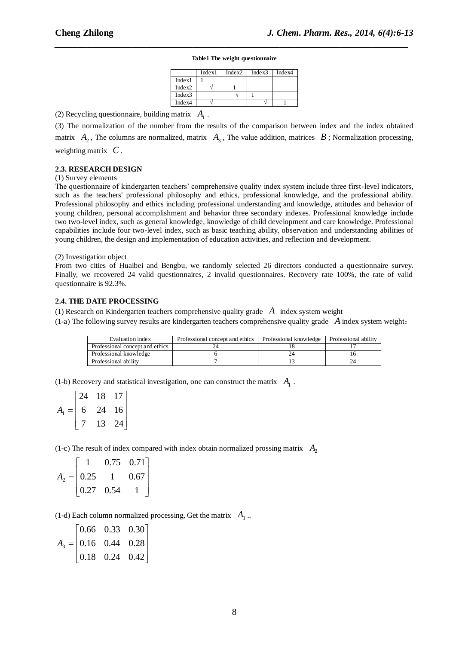# *\_\_\_\_\_\_\_\_\_\_\_\_\_\_\_\_\_\_\_\_\_\_\_\_\_\_\_\_\_\_\_\_\_\_\_\_\_\_\_\_\_\_\_\_\_\_\_\_\_\_\_\_\_\_\_\_\_\_\_\_\_\_\_\_\_\_\_\_\_\_\_\_\_\_\_\_\_* **Table1 The weight questionnaire**

|        | Index1 | Index2 | Index3 | Index4 |
|--------|--------|--------|--------|--------|
| Index1 |        |        |        |        |
| Index2 |        |        |        |        |
| Index3 |        |        |        |        |
| Index4 |        |        |        |        |

(2) Recycling questionnaire, building matrix  $A_1$ .

(3) The normalization of the number from the results of the comparison between index and the index obtained matrix  $A_2$ , The columns are normalized, matrix  $A_3$ , The value addition, matrices  $B$ ; Normalization processing, weighting matrix *C* .

#### **2.3. RESEARCH DESIGN**

#### (1) Survey elements

The questionnaire of kindergarten teachers' comprehensive quality index system include three first-level indicators, such as the teachers' professional philosophy and ethics, professional knowledge, and the professional ability. Professional philosophy and ethics including professional understanding and knowledge, attitudes and behavior of young children, personal accomplishment and behavior three secondary indexes. Professional knowledge include two two-level index, such as general knowledge, knowledge of child development and care knowledge. Professional capabilities include four two-level index, such as basic teaching ability, observation and understanding abilities of young children, the design and implementation of education activities, and reflection and development.

#### (2) Investigation object

From two cities of Huaibei and Bengbu, we randomly selected 26 directors conducted a questionnaire survey. Finally, we recovered 24 valid questionnaires, 2 invalid questionnaires. Recovery rate 100%, the rate of valid questionnaire is 92.3%.

#### **2.4. THE DATE PROCESSING**

(1) Research on Kindergarten teachers comprehensive quality grade *A* index system weight

(1-a) The following survey results are kindergarten teachers comprehensive quality grade *A* index system weight:

| Evaluation index                | Professional concept and ethics | Professional knowledge | Professional ability |
|---------------------------------|---------------------------------|------------------------|----------------------|
| Professional concept and ethics |                                 |                        |                      |
| Professional knowledge          |                                 |                        |                      |
| Professional ability            |                                 |                        |                      |

(1-b) Recovery and statistical investigation, one can construct the matrix  $A_1$ .

|                | 24 | 18 | 17 |  |
|----------------|----|----|----|--|
| $A_{1}$<br>$=$ | 6  | 24 | 16 |  |
|                |    |    | 24 |  |

(1-c) The result of index compared with index obtain normalized prossing matrix  $A_2$ 

|                |                    | 0.75 | $0.71$ ] |  |
|----------------|--------------------|------|----------|--|
| $A_2 =   0.25$ |                    |      | 0.67     |  |
|                | $\vert 0.27 \vert$ | 0.54 |          |  |

(1-d) Each column normalized processing, Get the matrix  $A_3$ .

$$
A_3 = \begin{bmatrix} 0.66 & 0.33 & 0.30 \\ 0.16 & 0.44 & 0.28 \\ 0.18 & 0.24 & 0.42 \end{bmatrix}
$$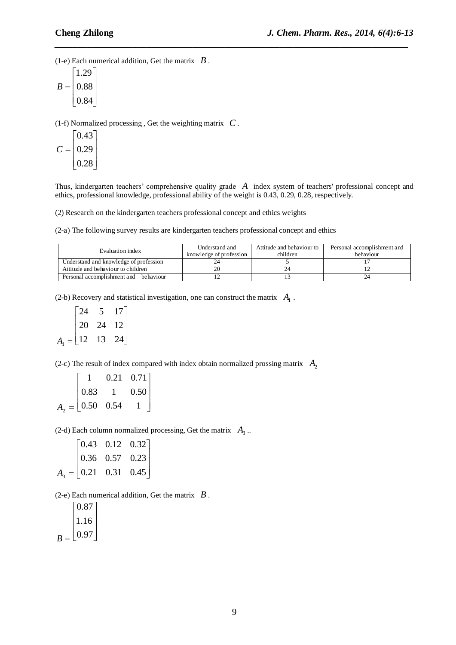(1-e) Each numerical addition, Get the matrix  $\mathbf{B}$ .

$$
B = \begin{bmatrix} 1.29 \\ 0.88 \\ 0.84 \end{bmatrix}
$$

(1-f) Normalized processing , Get the weighting matrix *C* .

$$
C = \begin{bmatrix} 0.43 \\ 0.29 \\ 0.28 \end{bmatrix}
$$

Thus, kindergarten teachers' comprehensive quality grade A index system of teachers' professional concept and ethics, professional knowledge, professional ability of the weight is 0.43, 0.29, 0.28, respectively.

*\_\_\_\_\_\_\_\_\_\_\_\_\_\_\_\_\_\_\_\_\_\_\_\_\_\_\_\_\_\_\_\_\_\_\_\_\_\_\_\_\_\_\_\_\_\_\_\_\_\_\_\_\_\_\_\_\_\_\_\_\_\_\_\_\_\_\_\_\_\_\_\_\_\_\_\_\_*

(2) Research on the kindergarten teachers professional concept and ethics weights

(2-a) The following survey results are kindergarten teachers professional concept and ethics

| Evaluation index                         | Understand and<br>knowledge of profession | Attitude and behaviour to<br>children | Personal accomplishment and<br>behaviour |
|------------------------------------------|-------------------------------------------|---------------------------------------|------------------------------------------|
| Understand and knowledge of profession   |                                           |                                       |                                          |
| Attitude and behaviour to children       |                                           |                                       |                                          |
| Personal accomplishment and<br>behaviour |                                           |                                       |                                          |

(2-b) Recovery and statistical investigation, one can construct the matrix  $A_1$ .

$$
A_1 = \begin{bmatrix} 24 & 5 & 17 \\ 20 & 24 & 12 \\ 12 & 13 & 24 \end{bmatrix}
$$

(2-c) The result of index compared with index obtain normalized prossing matrix  $A_2$ 

|                    | 0.21           | $0.71$ ] |  |
|--------------------|----------------|----------|--|
| $\vert 0.83 \vert$ | $\overline{1}$ | 0.50     |  |
| $A_2 = 0.50$ 0.54  |                |          |  |

(2-d) Each column normalized processing, Get the matrix  $A_3$ .

$$
A_3 = \begin{bmatrix} 0.43 & 0.12 & 0.32 \\ 0.36 & 0.57 & 0.23 \\ 0.21 & 0.31 & 0.45 \end{bmatrix}
$$

(2-e) Each numerical addition, Get the matrix  $\mathbf{B}$ .

 $B = \lfloor 0.97 \rfloor$  $\overline{\phantom{a}}$  $|1.16|$  $\lfloor 0.97 \rfloor$  $\lceil 0.87 \rceil$  $\mathsf{L}$  $\lfloor 0.97$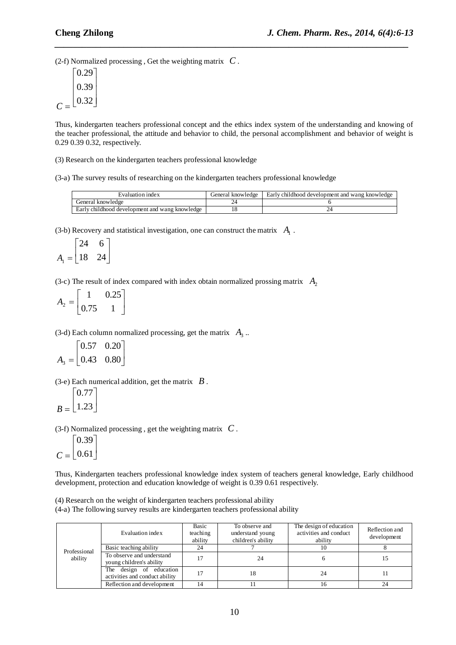(2-f) Normalized processing , Get the weighting matrix *C* .

| 0.29 |
|------|
| 0.39 |
| 0.32 |

Thus, kindergarten teachers professional concept and the ethics index system of the understanding and knowing of the teacher professional, the attitude and behavior to child, the personal accomplishment and behavior of weight is 0.29 0.39 0.32, respectively.

*\_\_\_\_\_\_\_\_\_\_\_\_\_\_\_\_\_\_\_\_\_\_\_\_\_\_\_\_\_\_\_\_\_\_\_\_\_\_\_\_\_\_\_\_\_\_\_\_\_\_\_\_\_\_\_\_\_\_\_\_\_\_\_\_\_\_\_\_\_\_\_\_\_\_\_\_\_*

(3) Research on the kindergarten teachers professional knowledge

(3-a) The survey results of researching on the kindergarten teachers professional knowledge

| Evaluation index                               | General knowledge | Early childhood development and wang knowledge |
|------------------------------------------------|-------------------|------------------------------------------------|
| General knowledge                              |                   |                                                |
| Early childhood development and wang knowledge |                   |                                                |

(3-b) Recovery and statistical investigation, one can construct the matrix  $A_1$ .

$$
A_1 = \begin{bmatrix} 24 & 6 \\ 18 & 24 \end{bmatrix}
$$

(3-c) The result of index compared with index obtain normalized prossing matrix  $A_2$ 

 $A_2 = \begin{vmatrix} 1 & 0.22 \\ 0.75 & 1 \end{vmatrix}$  $\overline{\phantom{a}}$  $\overline{\phantom{a}}$  $\mathsf{L}$ L  $\mathsf{L}$ 0.75 1 1 0.25

(3-d) Each column normalized processing, get the matrix  $A_3$ .

$$
A_3 = \begin{bmatrix} 0.57 & 0.20 \\ 0.43 & 0.80 \end{bmatrix}
$$

(3-e) Each numerical addition, get the matrix  $\mathbf{B}$ .

$$
B = \begin{bmatrix} 0.77 \\ 1.23 \end{bmatrix}
$$

(3-f) Normalized processing , get the weighting matrix *C* .

$$
C = \begin{bmatrix} 0.39 \\ 0.61 \end{bmatrix}
$$

Thus, Kindergarten teachers professional knowledge index system of teachers general knowledge, Early childhood development, protection and education knowledge of weight is 0.39 0.61 respectively.

(4) Research on the weight of kindergarten teachers professional ability

(4-a) The following survey results are kindergarten teachers professional ability

|              | Evaluation index                                          | Basic<br>teaching<br>ability | To observe and<br>understand young<br>children's ability | The design of education<br>activities and conduct<br>ability | Reflection and<br>development |
|--------------|-----------------------------------------------------------|------------------------------|----------------------------------------------------------|--------------------------------------------------------------|-------------------------------|
| Professional | Basic teaching ability                                    | 24                           |                                                          | 10                                                           |                               |
| ability      | To observe and understand<br>young children's ability     | 17                           |                                                          |                                                              |                               |
|              | The design of education<br>activities and conduct ability |                              | 18                                                       | 24                                                           |                               |
|              | Reflection and development                                | 14                           |                                                          | 16                                                           | 24                            |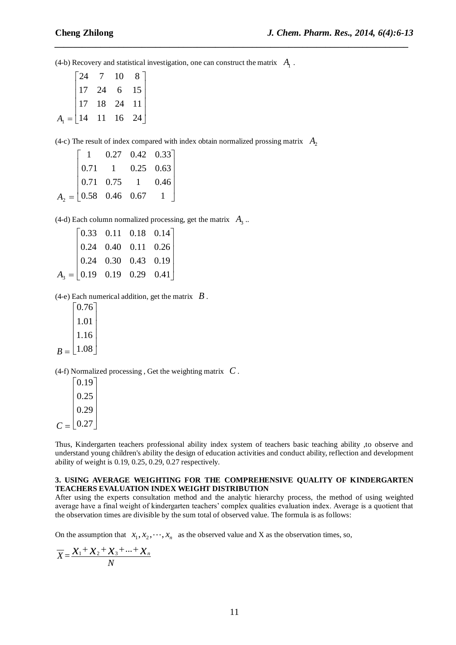(4-b) Recovery and statistical investigation, one can construct the matrix  $A_1$ .

*\_\_\_\_\_\_\_\_\_\_\_\_\_\_\_\_\_\_\_\_\_\_\_\_\_\_\_\_\_\_\_\_\_\_\_\_\_\_\_\_\_\_\_\_\_\_\_\_\_\_\_\_\_\_\_\_\_\_\_\_\_\_\_\_\_\_\_\_\_\_\_\_\_\_\_\_\_*

|                                                         |            | $\begin{bmatrix} 24 & 7 & 10 \end{bmatrix}$                           | 8 <sup>7</sup> |  |
|---------------------------------------------------------|------------|-----------------------------------------------------------------------|----------------|--|
|                                                         |            | $\begin{vmatrix} 17 & 24 & 6 & 15 \\ 17 & 18 & 24 & 11 \end{vmatrix}$ |                |  |
|                                                         | $\vert$ 17 |                                                                       |                |  |
| $A_1 = \begin{bmatrix} 14 & 11 & 16 & 24 \end{bmatrix}$ |            |                                                                       |                |  |

(4-c) The result of index compared with index obtain normalized prossing matrix  $A_2$ 

|  | $1 \quad 0.27 \quad 0.42 \quad 0.33$                                                                             |  |
|--|------------------------------------------------------------------------------------------------------------------|--|
|  | $A_2 = \begin{bmatrix} 0.71 & 1 & 0.25 & 0.63 \\ 0.71 & 0.75 & 1 & 0.46 \\ 0.58 & 0.46 & 0.67 & 1 \end{bmatrix}$ |  |
|  |                                                                                                                  |  |
|  |                                                                                                                  |  |

(4-d) Each column normalized processing, get the matrix  $A_3$ .

|  | $A_3 = \begin{bmatrix} 0.33 & 0.11 & 0.18 & 0.14 \\ 0.24 & 0.40 & 0.11 & 0.26 \\ 0.24 & 0.30 & 0.43 & 0.19 \\ 0.19 & 0.19 & 0.29 & 0.41 \end{bmatrix}$ |  |
|--|--------------------------------------------------------------------------------------------------------------------------------------------------------|--|
|  |                                                                                                                                                        |  |

 $(4-e)$  Each numerical addition, get the matrix  $\boldsymbol{B}$ .

|   | 0.76 |  |
|---|------|--|
|   | 1.01 |  |
|   | 1.16 |  |
| к | 1.08 |  |

(4-f) Normalized processing , Get the weighting matrix *C* .

|   | 0.19 |
|---|------|
|   | 0.25 |
|   | 0.29 |
| C | 0.27 |

Thus, Kindergarten teachers professional ability index system of teachers basic teaching ability ,to observe and understand young children's ability the design of education activities and conduct ability, reflection and development ability of weight is 0.19, 0.25, 0.29, 0.27 respectively.

#### **3. USING AVERAGE WEIGHTING FOR THE COMPREHENSIVE QUALITY OF KINDERGARTEN TEACHERS EVALUATION INDEX WEIGHT DISTRIBUTION**

After using the experts consultation method and the analytic hierarchy process, the method of using weighted average have a final weight of kindergarten teachers' complex qualities evaluation index. Average is a quotient that the observation times are divisible by the sum total of observed value. The formula is as follows:

On the assumption that  $x_1, x_2, \dots, x_n$  as the observed value and X as the observation times, so,<br> $\overline{X} = \frac{\chi_1 + \chi_2 + \chi_3 + \dots + \chi_n}{\chi_n}$ 

$$
\overline{X} = \frac{X_1 + X_2 + X_3 + \dots + X_n}{N}
$$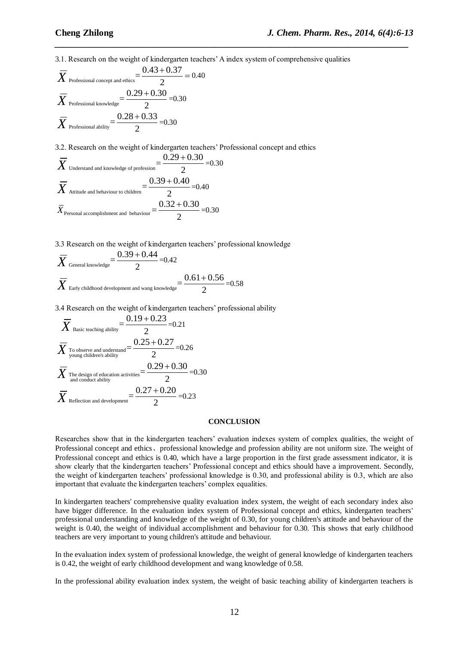3.1. Research on the weight of kindergarten teachers' A index system of comprehensive qualities<br>  $\overline{V} = \frac{0.43 + 0.37}{0.40} = 0.40$ 

*\_\_\_\_\_\_\_\_\_\_\_\_\_\_\_\_\_\_\_\_\_\_\_\_\_\_\_\_\_\_\_\_\_\_\_\_\_\_\_\_\_\_\_\_\_\_\_\_\_\_\_\_\_\_\_\_\_\_\_\_\_\_\_\_\_\_\_\_\_\_\_\_\_\_\_\_\_*

$$
\overline{X}_{\text{Professional concept and ethics}} = \frac{0.43 + 0.37}{2} = 0.40
$$
\n
$$
\overline{X}_{\text{Professional knowledge}} = \frac{0.29 + 0.30}{2} = 0.30
$$
\n
$$
\overline{X}_{\text{Professional ability}} = \frac{0.28 + 0.33}{2} = 0.30
$$

3.2. Research on the weight of kindergarten teachers' Professional concept and ethics <br>  $\overline{V} = \frac{0.29 + 0.30}{0.30} = 0.30$ 

$$
\overline{X}_{\text{Understanding and knowledge of profession}} = \frac{0.29 + 0.30}{2} = 0.30
$$

$$
\overline{X}_{\text{Attitude and behaviour to children}} = \frac{0.39 + 0.40}{2} = 0.40
$$

$$
\overline{X}_{\text{Personal acorphisment and behavior}} = \frac{0.32 + 0.30}{2} = 0.30
$$

3.3 Research on the weight of kindergarten teachers' professional knowledge

5.3 Research on the weight of Rindergarten teachers professor  
\n
$$
\overline{X}_{\text{General knowledge}} = \frac{0.39 + 0.44}{2} = 0.42
$$
\n
$$
\overline{X}_{\text{Early childhood development and wang knowledge}} = \frac{0.61 + 0.56}{2} = 0.58
$$

3.4 Research on the weight of kindergarten teachers' professional ability<br>  $\overline{V} = \frac{0.19 + 0.23}{0.21}$ 

$$
\overline{X}_{\text{Basic teaching ability}} = \frac{0.19 + 0.23}{2} = 0.21
$$
\n
$$
\overline{X}_{\text{To observe and understand}} = \frac{0.25 + 0.27}{2} = 0.26
$$
\n
$$
\overline{X}_{\text{The design of education activities}} = \frac{0.29 + 0.30}{2} = 0.30
$$
\n
$$
\overline{X}_{\text{Reflection and development}} = \frac{0.27 + 0.20}{2} = 0.23
$$

#### **CONCLUSION**

Researches show that in the kindergarten teachers' evaluation indexes system of complex qualities, the weight of Professional concept and ethics、professional knowledge and profession ability are not uniform size. The weight of Professional concept and ethics is 0.40, which have a large proportion in the first grade assessment indicator, it is show clearly that the kindergarten teachers' Professional concept and ethics should have a improvement. Secondly, the weight of kindergarten teachers' professional knowledge is 0.30, and professional ability is 0.3, which are also important that evaluate the kindergarten teachers' complex equalities.

In kindergarten teachers' comprehensive quality evaluation index system, the weight of each secondary index also have bigger difference. In the evaluation index system of Professional concept and ethics, kindergarten teachers' professional understanding and knowledge of the weight of 0.30, for young children's attitude and behaviour of the weight is 0.40, the weight of individual accomplishment and behaviour for 0.30. This shows that early childhood teachers are very important to young children's attitude and behaviour.

In the evaluation index system of professional knowledge, the weight of general knowledge of kindergarten teachers is 0.42, the weight of early childhood development and wang knowledge of 0.58.

In the professional ability evaluation index system, the weight of basic teaching ability of kindergarten teachers is